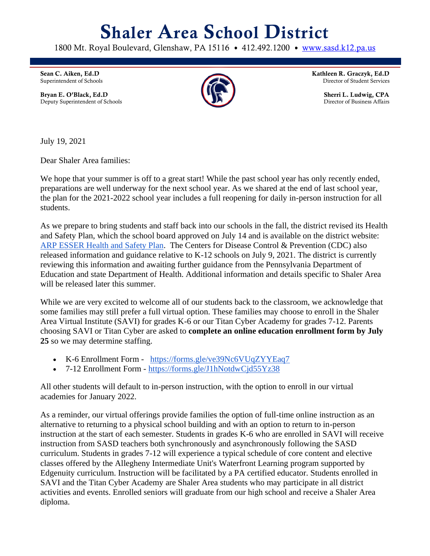## Shaler Area School District

1800 Mt. Royal Boulevard, Glenshaw, PA 15116 • 412.492.1200 • [www.sasd.k12.pa.us](http://www.sasd.k12.pa.us/)

Sean C. Aiken, Ed.D Superintendent of Schools

Bryan E. O'Black, Ed.D Deputy Superintendent of Schools



Kathleen R. Graczyk, Ed.D Director of Student Services

> Sherri L. Ludwig, CPA Director of Business Affairs

July 19, 2021

Dear Shaler Area families:

We hope that your summer is off to a great start! While the past school year has only recently ended, preparations are well underway for the next school year. As we shared at the end of last school year, the plan for the 2021-2022 school year includes a full reopening for daily in-person instruction for all students.

As we prepare to bring students and staff back into our schools in the fall, the district revised its Health and Safety Plan, which the school board approved on July 14 and is available on the district website: [ARP ESSER Health and Safety Plan.](https://www.sasd.k12.pa.us/Downloads/Health-and-Safety-Plan-revised-071421.pdf) The Centers for Disease Control & Prevention (CDC) also released information and guidance relative to K-12 schools on July 9, 2021. The district is currently reviewing this information and awaiting further guidance from the Pennsylvania Department of Education and state Department of Health. Additional information and details specific to Shaler Area will be released later this summer.

While we are very excited to welcome all of our students back to the classroom, we acknowledge that some families may still prefer a full virtual option. These families may choose to enroll in the Shaler Area Virtual Institute (SAVI) for grades K-6 or our Titan Cyber Academy for grades 7-12. Parents choosing SAVI or Titan Cyber are asked to **complete an online education enrollment form by July 25** so we may determine staffing.

- K-6 Enrollment Form <https://forms.gle/ve39Nc6VUqZYYEaq7>
- 7-12 Enrollment Form <https://forms.gle/J1hNotdwCjd55Yz38>

All other students will default to in-person instruction, with the option to enroll in our virtual academies for January 2022.

As a reminder, our virtual offerings provide families the option of full-time online instruction as an alternative to returning to a physical school building and with an option to return to in-person instruction at the start of each semester. Students in grades K-6 who are enrolled in SAVI will receive instruction from SASD teachers both synchronously and asynchronously following the SASD curriculum. Students in grades 7-12 will experience a typical schedule of core content and elective classes offered by the Allegheny Intermediate Unit's Waterfront Learning program supported by Edgenuity curriculum. Instruction will be facilitated by a PA certified educator. Students enrolled in SAVI and the Titan Cyber Academy are Shaler Area students who may participate in all district activities and events. Enrolled seniors will graduate from our high school and receive a Shaler Area diploma.